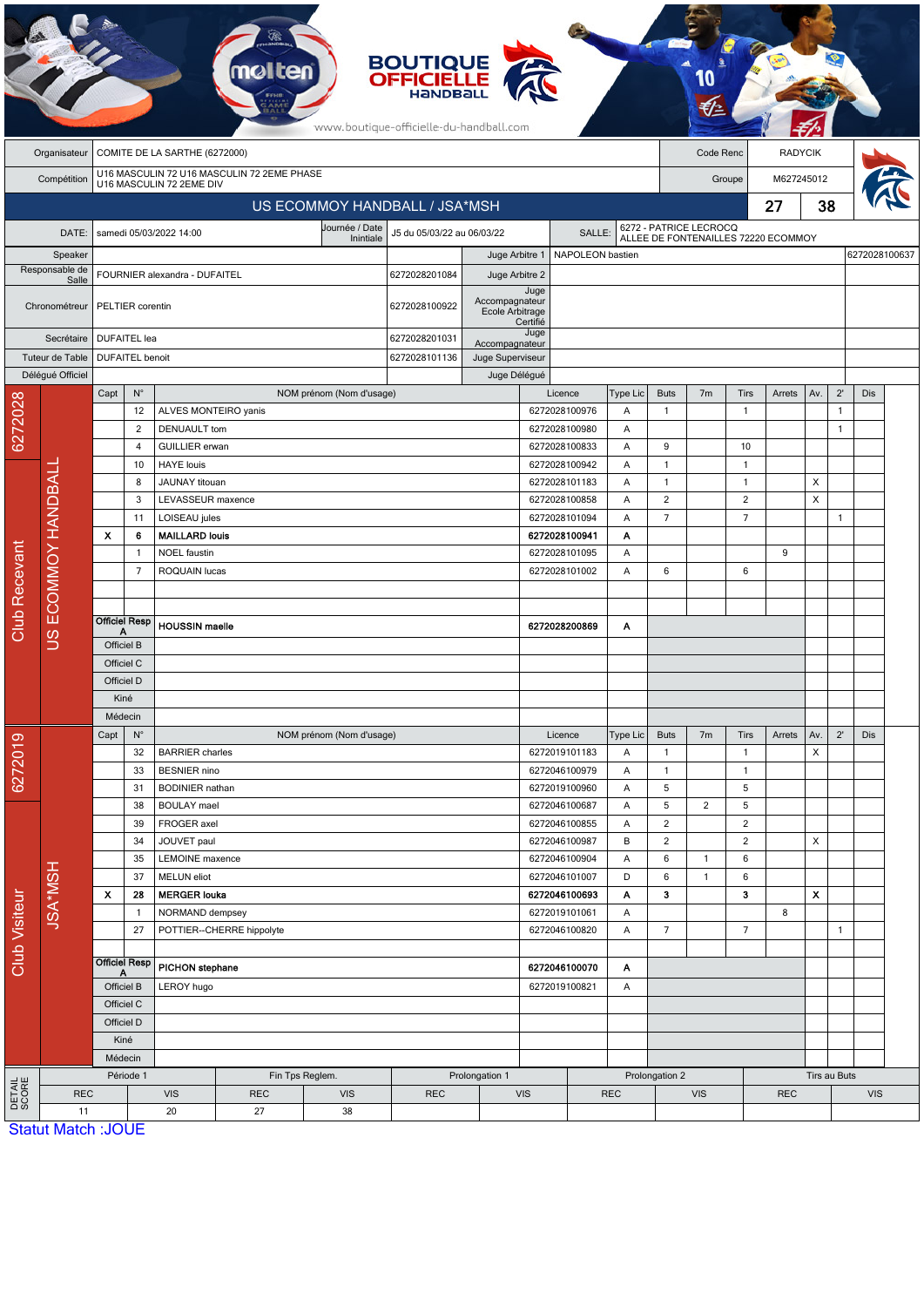|                      |                                 |                                                                        |                              |                                             | <b>molten</b>       |                             | <b>BOUTIQUE<br/>OFFICIELLE</b><br>www.boutique-officielle-du-handball.com |                                   |                                          |                                |                 |                                                               |                |                     |        |              |                              |               |  |
|----------------------|---------------------------------|------------------------------------------------------------------------|------------------------------|---------------------------------------------|---------------------|-----------------------------|---------------------------------------------------------------------------|-----------------------------------|------------------------------------------|--------------------------------|-----------------|---------------------------------------------------------------|----------------|---------------------|--------|--------------|------------------------------|---------------|--|
|                      | Organisateur                    | COMITE DE LA SARTHE (6272000)<br>Code Renc                             |                              |                                             |                     |                             |                                                                           |                                   |                                          |                                |                 |                                                               | <b>RADYCIK</b> |                     |        |              |                              |               |  |
|                      | Compétition                     | U16 MASCULIN 72 U16 MASCULIN 72 2EME PHASE<br>U16 MASCULIN 72 2EME DIV |                              |                                             |                     |                             |                                                                           |                                   |                                          |                                |                 |                                                               | Groupe         |                     |        | M627245012   |                              |               |  |
|                      | US ECOMMOY HANDBALL / JSA*MSH   |                                                                        |                              |                                             |                     |                             |                                                                           |                                   |                                          |                                |                 |                                                               | 27             |                     |        | 38           |                              |               |  |
|                      | DATE:                           |                                                                        |                              | samedi 05/03/2022 14:00                     |                     | Journée / Date<br>Inintiale | J5 du 05/03/22 au 06/03/22                                                |                                   |                                          | SALLE:                         |                 | 6272 - PATRICE LECROCQ<br>ALLEE DE FONTENAILLES 72220 ECOMMOY |                |                     |        |              |                              |               |  |
|                      | Speaker                         |                                                                        |                              |                                             |                     |                             |                                                                           |                                   | Juge Arbitre 1<br>NAPOLEON bastien       |                                |                 |                                                               |                |                     |        |              |                              | 6272028100637 |  |
|                      | Responsable de<br>Salle         | FOURNIER alexandra - DUFAITEL                                          |                              |                                             |                     |                             | 6272028201084                                                             | Juge Arbitre 2                    |                                          |                                |                 |                                                               |                |                     |        |              |                              |               |  |
|                      | Chronométreur                   |                                                                        | PELTIER corentin             |                                             |                     |                             | 6272028100922                                                             | Accompagnateur<br>Ecole Arbitrage | Juge<br>Certifié                         |                                |                 |                                                               |                |                     |        |              |                              |               |  |
| Secrétaire           |                                 |                                                                        | <b>DUFAITEL</b> lea          |                                             |                     |                             |                                                                           | Accompagnateur                    | Juge                                     |                                |                 |                                                               |                |                     |        |              |                              |               |  |
|                      | Tuteur de Table                 |                                                                        | <b>DUFAITEL</b> benoit       |                                             |                     |                             |                                                                           | Juge Superviseur                  |                                          |                                |                 |                                                               |                |                     |        |              |                              |               |  |
|                      | Déléqué Officiel                |                                                                        |                              |                                             |                     |                             |                                                                           | Juge Délégué                      |                                          |                                |                 |                                                               |                |                     |        |              |                              |               |  |
|                      |                                 | Capt                                                                   | $\mathsf{N}^\circ$           |                                             |                     | NOM prénom (Nom d'usage)    |                                                                           |                                   |                                          | Licence                        | <b>Type Lic</b> | <b>Buts</b>                                                   | 7 <sub>m</sub> | Tirs                | Arrets | Av.          | $2^{\prime}$                 | <b>Dis</b>    |  |
| 6272028              |                                 |                                                                        | 12<br>$\overline{2}$         | ALVES MONTEIRO yanis<br><b>DENUAULT</b> tom |                     |                             |                                                                           |                                   |                                          | 6272028100976<br>6272028100980 | Α<br>Α          | $\mathbf{1}$                                                  |                | $\mathbf{1}$        |        |              | $\mathbf{1}$<br>$\mathbf{1}$ |               |  |
|                      |                                 |                                                                        | 4                            | <b>GUILLIER</b> erwan                       |                     |                             |                                                                           |                                   |                                          | 6272028100833                  | Α               | 9                                                             |                | 10                  |        |              |                              |               |  |
|                      |                                 |                                                                        | 10                           | <b>HAYE</b> louis                           |                     |                             |                                                                           | 6272028100942                     |                                          | Α                              | $\mathbf{1}$    |                                                               | $\mathbf{1}$   |                     |        |              |                              |               |  |
|                      |                                 |                                                                        | JAUNAY titouan<br>8          |                                             |                     |                             |                                                                           |                                   | 6272028101183                            |                                | Α               | 1                                                             |                | $\mathbf{1}$        |        | X            |                              |               |  |
|                      |                                 |                                                                        | 3                            | LEVASSEUR maxence<br>LOISEAU jules          |                     |                             |                                                                           |                                   | 6272028100858<br>Α<br>6272028101094<br>Α |                                |                 | 2                                                             |                | $\overline{2}$      |        | X            |                              |               |  |
|                      | ECOMMOY HANDBALI<br>SU          |                                                                        | 11                           |                                             |                     |                             |                                                                           |                                   |                                          |                                |                 | $\overline{7}$                                                |                | $\overline{7}$      |        |              | $\mathbf{1}$                 |               |  |
|                      |                                 | $\boldsymbol{\mathsf{x}}$                                              | 6                            | <b>MAILLARD louis</b>                       |                     |                             | 6272028100941                                                             | Α                                 |                                          |                                |                 |                                                               |                |                     |        |              |                              |               |  |
|                      |                                 |                                                                        | $\mathbf{1}$<br>7            | <b>NOEL</b> faustin<br>ROQUAIN lucas        |                     |                             |                                                                           |                                   |                                          | 6272028101095<br>6272028101002 | Α<br>A          | 6                                                             |                | 6                   | 9      |              |                              |               |  |
| <b>Club Recevant</b> |                                 |                                                                        |                              |                                             |                     |                             |                                                                           |                                   |                                          |                                |                 |                                                               |                |                     |        |              |                              |               |  |
|                      |                                 |                                                                        |                              |                                             |                     |                             |                                                                           |                                   |                                          |                                |                 |                                                               |                |                     |        |              |                              |               |  |
|                      |                                 | <b>Officiel Resp</b>                                                   |                              | <b>HOUSSIN</b> maelle                       |                     |                             |                                                                           |                                   | 6272028200869                            | Α                              |                 |                                                               |                |                     |        |              |                              |               |  |
|                      |                                 |                                                                        | Officiel B                   |                                             |                     |                             |                                                                           |                                   |                                          |                                |                 |                                                               |                |                     |        |              |                              |               |  |
|                      |                                 | Officiel C                                                             |                              |                                             |                     |                             |                                                                           |                                   |                                          |                                |                 |                                                               |                |                     |        |              |                              |               |  |
|                      |                                 | Officiel D                                                             |                              |                                             |                     |                             |                                                                           |                                   |                                          |                                |                 |                                                               |                |                     |        |              |                              |               |  |
|                      |                                 | Kiné<br>Médecin                                                        |                              |                                             |                     |                             |                                                                           |                                   |                                          |                                |                 |                                                               |                |                     |        |              |                              |               |  |
|                      |                                 | $N^{\circ}$<br>Capt                                                    |                              |                                             |                     |                             |                                                                           |                                   | Licence                                  | Type Lic                       | <b>Buts</b>     | 7 <sub>m</sub>                                                | Tirs           | Arrets              | Av.    | $2^{\prime}$ | <b>Dis</b>                   |               |  |
| 6272019              |                                 |                                                                        | 32                           | <b>BARRIER</b> charles                      |                     | NOM prénom (Nom d'usage)    |                                                                           |                                   |                                          | 6272019101183                  | Α               | $\mathbf{1}$                                                  |                | $\mathbf{1}$        |        | Χ            |                              |               |  |
|                      |                                 |                                                                        | 33                           |                                             | <b>BESNIER</b> nino |                             |                                                                           |                                   |                                          | 6272046100979                  | Α               | $\mathbf{1}$                                                  |                | $\mathbf{1}$        |        |              |                              |               |  |
|                      |                                 |                                                                        | 31                           | <b>BODINIER</b> nathan                      |                     |                             |                                                                           |                                   |                                          | 6272019100960                  | Α               | 5                                                             |                | 5                   |        |              |                              |               |  |
|                      |                                 |                                                                        | 38                           | <b>BOULAY</b> mael                          |                     |                             |                                                                           |                                   |                                          | 6272046100687                  | Α               | 5                                                             | 2              | 5                   |        |              |                              |               |  |
|                      |                                 |                                                                        | 39                           | FROGER axel                                 |                     |                             |                                                                           |                                   |                                          | 6272046100855                  | Α               | $\overline{2}$                                                |                | $\overline{2}$      |        |              |                              |               |  |
|                      |                                 |                                                                        | 34<br>35                     | JOUVET paul<br><b>LEMOINE</b> maxence       |                     |                             |                                                                           |                                   |                                          | 6272046100987<br>6272046100904 | B<br>Α          | $\overline{2}$<br>$\boldsymbol{6}$                            | $\mathbf{1}$   | $\overline{c}$<br>6 |        | X            |                              |               |  |
|                      |                                 |                                                                        | 37<br><b>MELUN</b> eliot     |                                             |                     | 6272046101007               | D                                                                         | $\boldsymbol{6}$                  | $\mathbf{1}$                             | 6                              |                 |                                                               |                |                     |        |              |                              |               |  |
|                      | <b>USA*MSH</b>                  | $\boldsymbol{\mathsf{x}}$<br>28                                        |                              | <b>MERGER louka</b>                         |                     |                             |                                                                           |                                   | 6272046100693<br>Α                       |                                |                 | 3                                                             |                | 3                   |        | X            |                              |               |  |
|                      |                                 |                                                                        | $\mathbf{1}$                 |                                             | NORMAND dempsey     |                             |                                                                           |                                   | 6272019101061                            |                                | Α               |                                                               |                |                     | 8      |              |                              |               |  |
|                      |                                 |                                                                        | 27                           | POTTIER--CHERRE hippolyte                   |                     |                             |                                                                           |                                   | 6272046100820<br>A                       |                                |                 | $\overline{7}$                                                |                | $\overline{7}$      |        |              | $\mathbf{1}$                 |               |  |
| Club Visiteur        |                                 | <b>Officiel Resp</b>                                                   |                              |                                             |                     |                             |                                                                           |                                   |                                          |                                |                 |                                                               |                |                     |        |              |                              |               |  |
|                      |                                 |                                                                        | <b>PICHON</b> stephane<br>A  |                                             |                     |                             |                                                                           |                                   | 6272046100070<br>Α                       |                                |                 |                                                               |                |                     |        |              |                              |               |  |
|                      |                                 | Officiel B                                                             | Officiel C                   | LEROY hugo                                  |                     |                             |                                                                           |                                   | 6272019100821                            |                                | Α               |                                                               |                |                     |        |              |                              |               |  |
|                      |                                 | Officiel D                                                             |                              |                                             |                     |                             |                                                                           |                                   |                                          |                                |                 |                                                               |                |                     |        |              |                              |               |  |
|                      |                                 |                                                                        | Kiné                         |                                             |                     |                             |                                                                           |                                   |                                          |                                |                 |                                                               |                |                     |        |              |                              |               |  |
|                      |                                 |                                                                        | Médecin                      |                                             |                     |                             |                                                                           |                                   |                                          |                                |                 |                                                               |                |                     |        |              |                              |               |  |
|                      |                                 |                                                                        | Période 1<br>Fin Tps Reglem. |                                             |                     | Prolongation 1              |                                                                           |                                   |                                          | Prolongation 2                 |                 |                                                               | Tirs au Buts   |                     |        |              |                              |               |  |
| DETAIL<br>SCORE      | <b>REC</b>                      |                                                                        |                              | <b>VIS</b>                                  | <b>REC</b>          | <b>VIS</b>                  | <b>REC</b>                                                                | <b>VIS</b>                        |                                          | <b>REC</b>                     |                 | <b>VIS</b><br><b>REC</b>                                      |                |                     |        |              | <b>VIS</b>                   |               |  |
|                      | 11<br><b>Statut Match: JOUE</b> |                                                                        |                              | 20                                          | 27                  | 38                          |                                                                           |                                   |                                          |                                |                 |                                                               |                |                     |        |              |                              |               |  |

**CA**